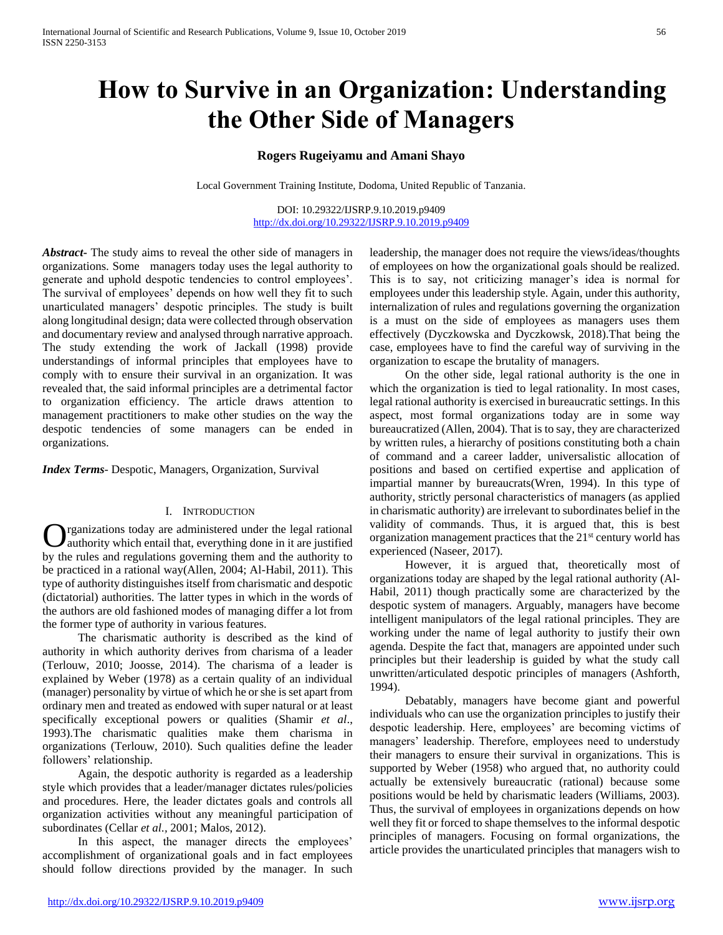# **How to Survive in an Organization: Understanding the Other Side of Managers**

# **Rogers Rugeiyamu and Amani Shayo**

Local Government Training Institute, Dodoma, United Republic of Tanzania.

DOI: 10.29322/IJSRP.9.10.2019.p9409 <http://dx.doi.org/10.29322/IJSRP.9.10.2019.p9409>

*Abstract***-** The study aims to reveal the other side of managers in organizations. Some managers today uses the legal authority to generate and uphold despotic tendencies to control employees'. The survival of employees' depends on how well they fit to such unarticulated managers' despotic principles. The study is built along longitudinal design; data were collected through observation and documentary review and analysed through narrative approach. The study extending the work of Jackall (1998) provide understandings of informal principles that employees have to comply with to ensure their survival in an organization. It was revealed that, the said informal principles are a detrimental factor to organization efficiency. The article draws attention to management practitioners to make other studies on the way the despotic tendencies of some managers can be ended in organizations.

*Index Terms*- Despotic, Managers, Organization, Survival

## I. INTRODUCTION

rganizations today are administered under the legal rational authority which entail that, everything done in it are justified **C** rganizations today are administered under the legal rational authority which entail that, everything done in it are justified by the rules and regulations governing them and the authority to be practiced in a rational way(Allen, 2004; Al-Habil, 2011). This type of authority distinguishes itself from charismatic and despotic (dictatorial) authorities. The latter types in which in the words of the authors are old fashioned modes of managing differ a lot from the former type of authority in various features.

 The charismatic authority is described as the kind of authority in which authority derives from charisma of a leader (Terlouw, 2010; Joosse, 2014). The charisma of a leader is explained by Weber (1978) as a certain quality of an individual (manager) personality by virtue of which he or she is set apart from ordinary men and treated as endowed with super natural or at least specifically exceptional powers or qualities (Shamir *et al*., 1993).The charismatic qualities make them charisma in organizations (Terlouw, 2010). Such qualities define the leader followers' relationship.

 Again, the despotic authority is regarded as a leadership style which provides that a leader/manager dictates rules/policies and procedures. Here, the leader dictates goals and controls all organization activities without any meaningful participation of subordinates (Cellar *et al.,* 2001; Malos, 2012).

 In this aspect, the manager directs the employees' accomplishment of organizational goals and in fact employees should follow directions provided by the manager. In such

leadership, the manager does not require the views/ideas/thoughts of employees on how the organizational goals should be realized. This is to say, not criticizing manager's idea is normal for employees under this leadership style. Again, under this authority, internalization of rules and regulations governing the organization is a must on the side of employees as managers uses them effectively (Dyczkowska and Dyczkowsk, 2018).That being the case, employees have to find the careful way of surviving in the organization to escape the brutality of managers.

 On the other side, legal rational authority is the one in which the organization is tied to legal rationality. In most cases, legal rational authority is exercised in bureaucratic settings. In this aspect, most formal organizations today are in some way bureaucratized (Allen, 2004). That is to say, they are characterized by written rules, a hierarchy of positions constituting both a chain of command and a career ladder, universalistic allocation of positions and based on certified expertise and application of impartial manner by bureaucrats(Wren, 1994). In this type of authority, strictly personal characteristics of managers (as applied in charismatic authority) are irrelevant to subordinates belief in the validity of commands. Thus, it is argued that, this is best organization management practices that the 21<sup>st</sup> century world has experienced (Naseer, 2017).

 However, it is argued that, theoretically most of organizations today are shaped by the legal rational authority (Al-Habil, 2011) though practically some are characterized by the despotic system of managers. Arguably, managers have become intelligent manipulators of the legal rational principles. They are working under the name of legal authority to justify their own agenda. Despite the fact that, managers are appointed under such principles but their leadership is guided by what the study call unwritten/articulated despotic principles of managers (Ashforth, 1994).

 Debatably, managers have become giant and powerful individuals who can use the organization principles to justify their despotic leadership. Here, employees' are becoming victims of managers' leadership. Therefore, employees need to understudy their managers to ensure their survival in organizations. This is supported by Weber (1958) who argued that, no authority could actually be extensively bureaucratic (rational) because some positions would be held by charismatic leaders (Williams, 2003). Thus, the survival of employees in organizations depends on how well they fit or forced to shape themselves to the informal despotic principles of managers. Focusing on formal organizations, the article provides the unarticulated principles that managers wish to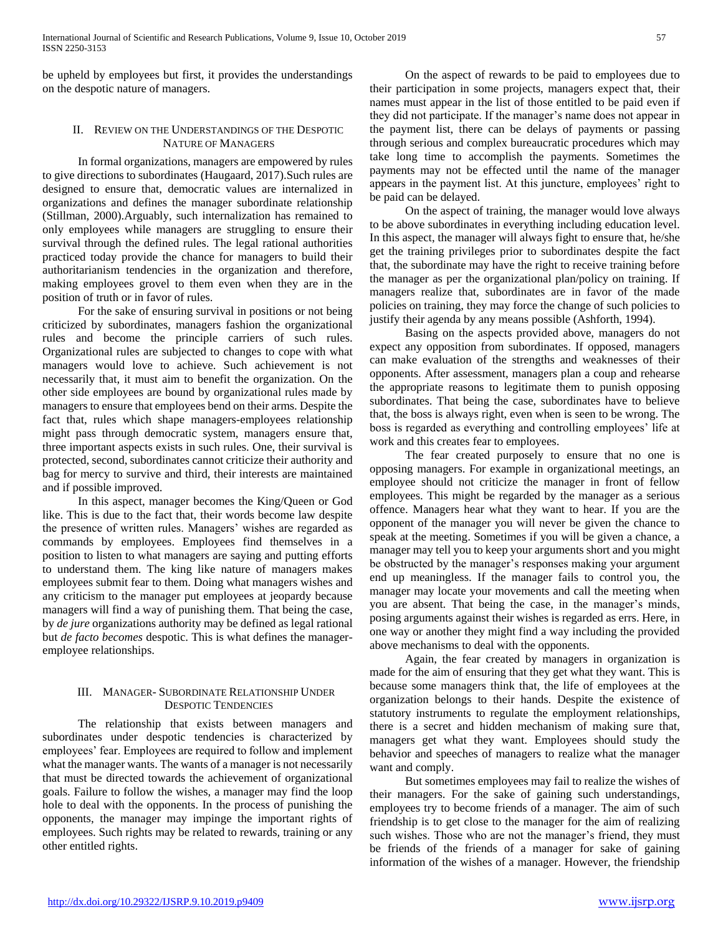be upheld by employees but first, it provides the understandings on the despotic nature of managers.

# II. REVIEW ON THE UNDERSTANDINGS OF THE DESPOTIC NATURE OF MANAGERS

 In formal organizations, managers are empowered by rules to give directions to subordinates (Haugaard, 2017).Such rules are designed to ensure that, democratic values are internalized in organizations and defines the manager subordinate relationship (Stillman, 2000).Arguably, such internalization has remained to only employees while managers are struggling to ensure their survival through the defined rules. The legal rational authorities practiced today provide the chance for managers to build their authoritarianism tendencies in the organization and therefore, making employees grovel to them even when they are in the position of truth or in favor of rules.

 For the sake of ensuring survival in positions or not being criticized by subordinates, managers fashion the organizational rules and become the principle carriers of such rules. Organizational rules are subjected to changes to cope with what managers would love to achieve. Such achievement is not necessarily that, it must aim to benefit the organization. On the other side employees are bound by organizational rules made by managers to ensure that employees bend on their arms. Despite the fact that, rules which shape managers-employees relationship might pass through democratic system, managers ensure that, three important aspects exists in such rules. One, their survival is protected, second, subordinates cannot criticize their authority and bag for mercy to survive and third, their interests are maintained and if possible improved.

 In this aspect, manager becomes the King/Queen or God like. This is due to the fact that, their words become law despite the presence of written rules. Managers' wishes are regarded as commands by employees. Employees find themselves in a position to listen to what managers are saying and putting efforts to understand them. The king like nature of managers makes employees submit fear to them. Doing what managers wishes and any criticism to the manager put employees at jeopardy because managers will find a way of punishing them. That being the case, by *de jure* organizations authority may be defined as legal rational but *de facto becomes* despotic. This is what defines the manageremployee relationships.

# III. MANAGER- SUBORDINATE RELATIONSHIP UNDER DESPOTIC TENDENCIES

 The relationship that exists between managers and subordinates under despotic tendencies is characterized by employees' fear. Employees are required to follow and implement what the manager wants. The wants of a manager is not necessarily that must be directed towards the achievement of organizational goals. Failure to follow the wishes, a manager may find the loop hole to deal with the opponents. In the process of punishing the opponents, the manager may impinge the important rights of employees. Such rights may be related to rewards, training or any other entitled rights.

 On the aspect of rewards to be paid to employees due to their participation in some projects, managers expect that, their names must appear in the list of those entitled to be paid even if they did not participate. If the manager's name does not appear in the payment list, there can be delays of payments or passing through serious and complex bureaucratic procedures which may take long time to accomplish the payments. Sometimes the payments may not be effected until the name of the manager appears in the payment list. At this juncture, employees' right to be paid can be delayed.

 On the aspect of training, the manager would love always to be above subordinates in everything including education level. In this aspect, the manager will always fight to ensure that, he/she get the training privileges prior to subordinates despite the fact that, the subordinate may have the right to receive training before the manager as per the organizational plan/policy on training. If managers realize that, subordinates are in favor of the made policies on training, they may force the change of such policies to justify their agenda by any means possible (Ashforth, 1994).

 Basing on the aspects provided above, managers do not expect any opposition from subordinates. If opposed, managers can make evaluation of the strengths and weaknesses of their opponents. After assessment, managers plan a coup and rehearse the appropriate reasons to legitimate them to punish opposing subordinates. That being the case, subordinates have to believe that, the boss is always right, even when is seen to be wrong. The boss is regarded as everything and controlling employees' life at work and this creates fear to employees.

 The fear created purposely to ensure that no one is opposing managers. For example in organizational meetings, an employee should not criticize the manager in front of fellow employees. This might be regarded by the manager as a serious offence. Managers hear what they want to hear. If you are the opponent of the manager you will never be given the chance to speak at the meeting. Sometimes if you will be given a chance, a manager may tell you to keep your arguments short and you might be obstructed by the manager's responses making your argument end up meaningless. If the manager fails to control you, the manager may locate your movements and call the meeting when you are absent. That being the case, in the manager's minds, posing arguments against their wishes is regarded as errs. Here, in one way or another they might find a way including the provided above mechanisms to deal with the opponents.

 Again, the fear created by managers in organization is made for the aim of ensuring that they get what they want. This is because some managers think that, the life of employees at the organization belongs to their hands. Despite the existence of statutory instruments to regulate the employment relationships, there is a secret and hidden mechanism of making sure that, managers get what they want. Employees should study the behavior and speeches of managers to realize what the manager want and comply.

 But sometimes employees may fail to realize the wishes of their managers. For the sake of gaining such understandings, employees try to become friends of a manager. The aim of such friendship is to get close to the manager for the aim of realizing such wishes. Those who are not the manager's friend, they must be friends of the friends of a manager for sake of gaining information of the wishes of a manager. However, the friendship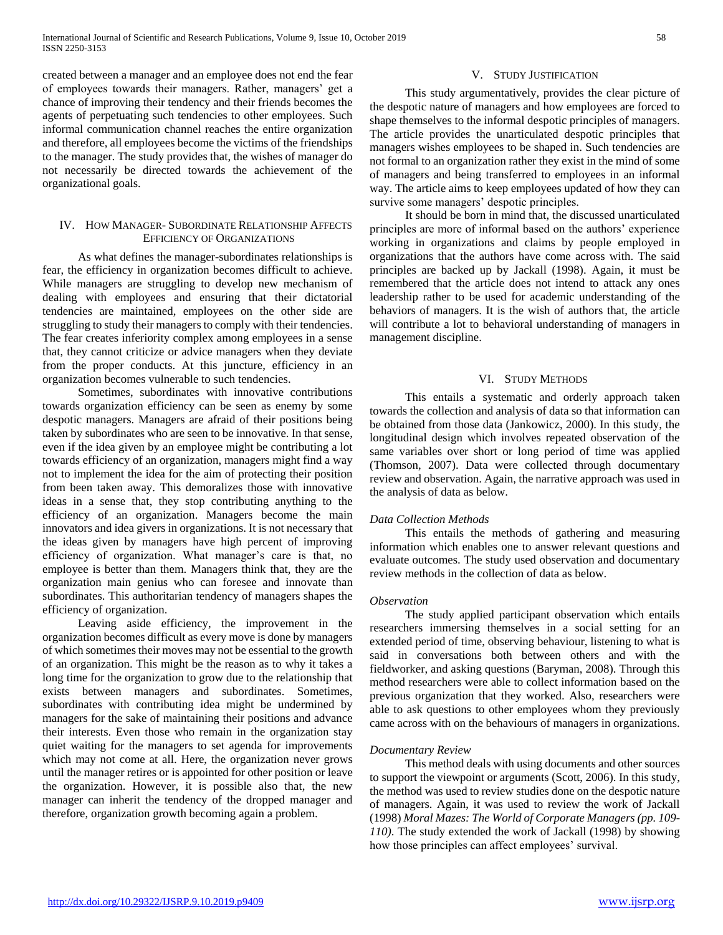created between a manager and an employee does not end the fear of employees towards their managers. Rather, managers' get a chance of improving their tendency and their friends becomes the agents of perpetuating such tendencies to other employees. Such informal communication channel reaches the entire organization and therefore, all employees become the victims of the friendships to the manager. The study provides that, the wishes of manager do not necessarily be directed towards the achievement of the organizational goals.

# IV. HOW MANAGER- SUBORDINATE RELATIONSHIP AFFECTS EFFICIENCY OF ORGANIZATIONS

 As what defines the manager-subordinates relationships is fear, the efficiency in organization becomes difficult to achieve. While managers are struggling to develop new mechanism of dealing with employees and ensuring that their dictatorial tendencies are maintained, employees on the other side are struggling to study their managers to comply with their tendencies. The fear creates inferiority complex among employees in a sense that, they cannot criticize or advice managers when they deviate from the proper conducts. At this juncture, efficiency in an organization becomes vulnerable to such tendencies.

 Sometimes, subordinates with innovative contributions towards organization efficiency can be seen as enemy by some despotic managers. Managers are afraid of their positions being taken by subordinates who are seen to be innovative. In that sense, even if the idea given by an employee might be contributing a lot towards efficiency of an organization, managers might find a way not to implement the idea for the aim of protecting their position from been taken away. This demoralizes those with innovative ideas in a sense that, they stop contributing anything to the efficiency of an organization. Managers become the main innovators and idea givers in organizations. It is not necessary that the ideas given by managers have high percent of improving efficiency of organization. What manager's care is that, no employee is better than them. Managers think that, they are the organization main genius who can foresee and innovate than subordinates. This authoritarian tendency of managers shapes the efficiency of organization.

 Leaving aside efficiency, the improvement in the organization becomes difficult as every move is done by managers of which sometimes their moves may not be essential to the growth of an organization. This might be the reason as to why it takes a long time for the organization to grow due to the relationship that exists between managers and subordinates. Sometimes, subordinates with contributing idea might be undermined by managers for the sake of maintaining their positions and advance their interests. Even those who remain in the organization stay quiet waiting for the managers to set agenda for improvements which may not come at all. Here, the organization never grows until the manager retires or is appointed for other position or leave the organization. However, it is possible also that, the new manager can inherit the tendency of the dropped manager and therefore, organization growth becoming again a problem.

### V. STUDY JUSTIFICATION

 This study argumentatively, provides the clear picture of the despotic nature of managers and how employees are forced to shape themselves to the informal despotic principles of managers. The article provides the unarticulated despotic principles that managers wishes employees to be shaped in. Such tendencies are not formal to an organization rather they exist in the mind of some of managers and being transferred to employees in an informal way. The article aims to keep employees updated of how they can survive some managers' despotic principles.

 It should be born in mind that, the discussed unarticulated principles are more of informal based on the authors' experience working in organizations and claims by people employed in organizations that the authors have come across with. The said principles are backed up by Jackall (1998). Again, it must be remembered that the article does not intend to attack any ones leadership rather to be used for academic understanding of the behaviors of managers. It is the wish of authors that, the article will contribute a lot to behavioral understanding of managers in management discipline.

#### VI. STUDY METHODS

 This entails a systematic and orderly approach taken towards the collection and analysis of data so that information can be obtained from those data (Jankowicz, 2000). In this study, the longitudinal design which involves repeated observation of the same variables over short or long period of time was applied (Thomson, 2007). Data were collected through documentary review and observation. Again, the narrative approach was used in the analysis of data as below.

#### *Data Collection Methods*

 This entails the methods of gathering and measuring information which enables one to answer relevant questions and evaluate outcomes. The study used observation and documentary review methods in the collection of data as below.

#### *Observation*

 The study applied participant observation which entails researchers immersing themselves in a social setting for an extended period of time, observing behaviour, listening to what is said in conversations both between others and with the fieldworker, and asking questions (Baryman, 2008). Through this method researchers were able to collect information based on the previous organization that they worked. Also, researchers were able to ask questions to other employees whom they previously came across with on the behaviours of managers in organizations.

#### *Documentary Review*

 This method deals with using documents and other sources to support the viewpoint or arguments (Scott, 2006). In this study, the method was used to review studies done on the despotic nature of managers. Again, it was used to review the work of Jackall (1998) *Moral Mazes: The World of Corporate Managers (pp. 109- 110)*. The study extended the work of Jackall (1998) by showing how those principles can affect employees' survival.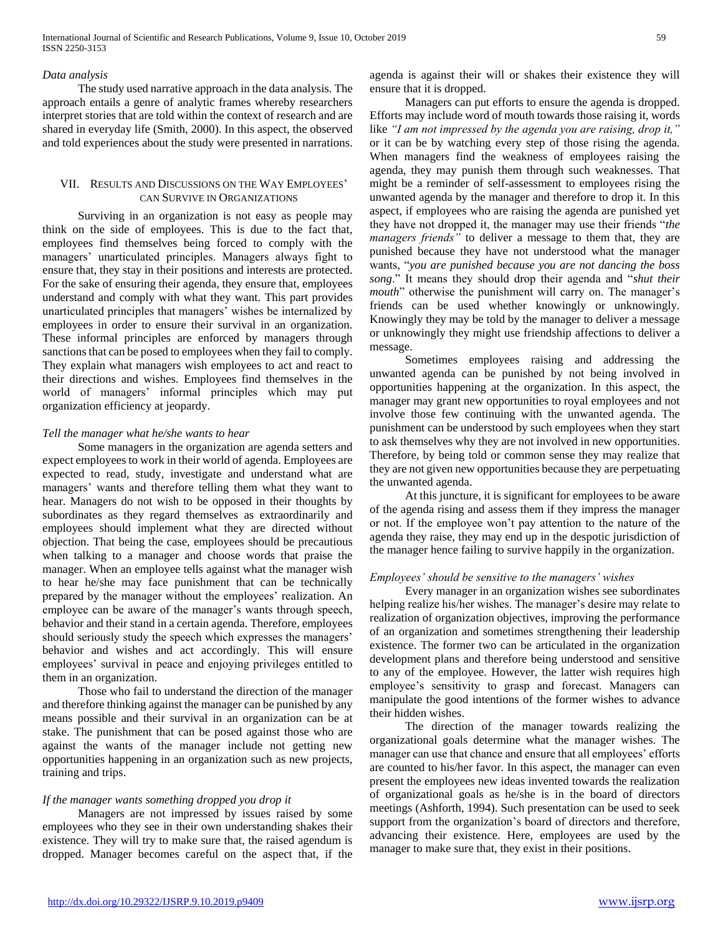## *Data analysis*

 The study used narrative approach in the data analysis. The approach entails a genre of analytic frames whereby researchers interpret stories that are told within the context of research and are shared in everyday life (Smith, 2000). In this aspect, the observed and told experiences about the study were presented in narrations.

# VII. RESULTS AND DISCUSSIONS ON THE WAY EMPLOYEES' CAN SURVIVE IN ORGANIZATIONS

 Surviving in an organization is not easy as people may think on the side of employees. This is due to the fact that, employees find themselves being forced to comply with the managers' unarticulated principles. Managers always fight to ensure that, they stay in their positions and interests are protected. For the sake of ensuring their agenda, they ensure that, employees understand and comply with what they want. This part provides unarticulated principles that managers' wishes be internalized by employees in order to ensure their survival in an organization. These informal principles are enforced by managers through sanctions that can be posed to employees when they fail to comply. They explain what managers wish employees to act and react to their directions and wishes. Employees find themselves in the world of managers' informal principles which may put organization efficiency at jeopardy.

#### *Tell the manager what he/she wants to hear*

 Some managers in the organization are agenda setters and expect employees to work in their world of agenda. Employees are expected to read, study, investigate and understand what are managers' wants and therefore telling them what they want to hear. Managers do not wish to be opposed in their thoughts by subordinates as they regard themselves as extraordinarily and employees should implement what they are directed without objection. That being the case, employees should be precautious when talking to a manager and choose words that praise the manager. When an employee tells against what the manager wish to hear he/she may face punishment that can be technically prepared by the manager without the employees' realization. An employee can be aware of the manager's wants through speech, behavior and their stand in a certain agenda. Therefore, employees should seriously study the speech which expresses the managers' behavior and wishes and act accordingly. This will ensure employees' survival in peace and enjoying privileges entitled to them in an organization.

 Those who fail to understand the direction of the manager and therefore thinking against the manager can be punished by any means possible and their survival in an organization can be at stake. The punishment that can be posed against those who are against the wants of the manager include not getting new opportunities happening in an organization such as new projects, training and trips.

# *If the manager wants something dropped you drop it*

 Managers are not impressed by issues raised by some employees who they see in their own understanding shakes their existence. They will try to make sure that, the raised agendum is dropped. Manager becomes careful on the aspect that, if the agenda is against their will or shakes their existence they will ensure that it is dropped.

 Managers can put efforts to ensure the agenda is dropped. Efforts may include word of mouth towards those raising it, words like *"I am not impressed by the agenda you are raising, drop it,"* or it can be by watching every step of those rising the agenda. When managers find the weakness of employees raising the agenda, they may punish them through such weaknesses. That might be a reminder of self-assessment to employees rising the unwanted agenda by the manager and therefore to drop it. In this aspect, if employees who are raising the agenda are punished yet they have not dropped it, the manager may use their friends "*the managers friends"* to deliver a message to them that, they are punished because they have not understood what the manager wants, "*you are punished because you are not dancing the boss song*." It means they should drop their agenda and "*shut their mouth*" otherwise the punishment will carry on. The manager's friends can be used whether knowingly or unknowingly. Knowingly they may be told by the manager to deliver a message or unknowingly they might use friendship affections to deliver a message.

 Sometimes employees raising and addressing the unwanted agenda can be punished by not being involved in opportunities happening at the organization. In this aspect, the manager may grant new opportunities to royal employees and not involve those few continuing with the unwanted agenda. The punishment can be understood by such employees when they start to ask themselves why they are not involved in new opportunities. Therefore, by being told or common sense they may realize that they are not given new opportunities because they are perpetuating the unwanted agenda.

 At this juncture, it is significant for employees to be aware of the agenda rising and assess them if they impress the manager or not. If the employee won't pay attention to the nature of the agenda they raise, they may end up in the despotic jurisdiction of the manager hence failing to survive happily in the organization.

### *Employees' should be sensitive to the managers' wishes*

 Every manager in an organization wishes see subordinates helping realize his/her wishes. The manager's desire may relate to realization of organization objectives, improving the performance of an organization and sometimes strengthening their leadership existence. The former two can be articulated in the organization development plans and therefore being understood and sensitive to any of the employee. However, the latter wish requires high employee's sensitivity to grasp and forecast. Managers can manipulate the good intentions of the former wishes to advance their hidden wishes.

 The direction of the manager towards realizing the organizational goals determine what the manager wishes. The manager can use that chance and ensure that all employees' efforts are counted to his/her favor. In this aspect, the manager can even present the employees new ideas invented towards the realization of organizational goals as he/she is in the board of directors meetings (Ashforth, 1994). Such presentation can be used to seek support from the organization's board of directors and therefore, advancing their existence. Here, employees are used by the manager to make sure that, they exist in their positions.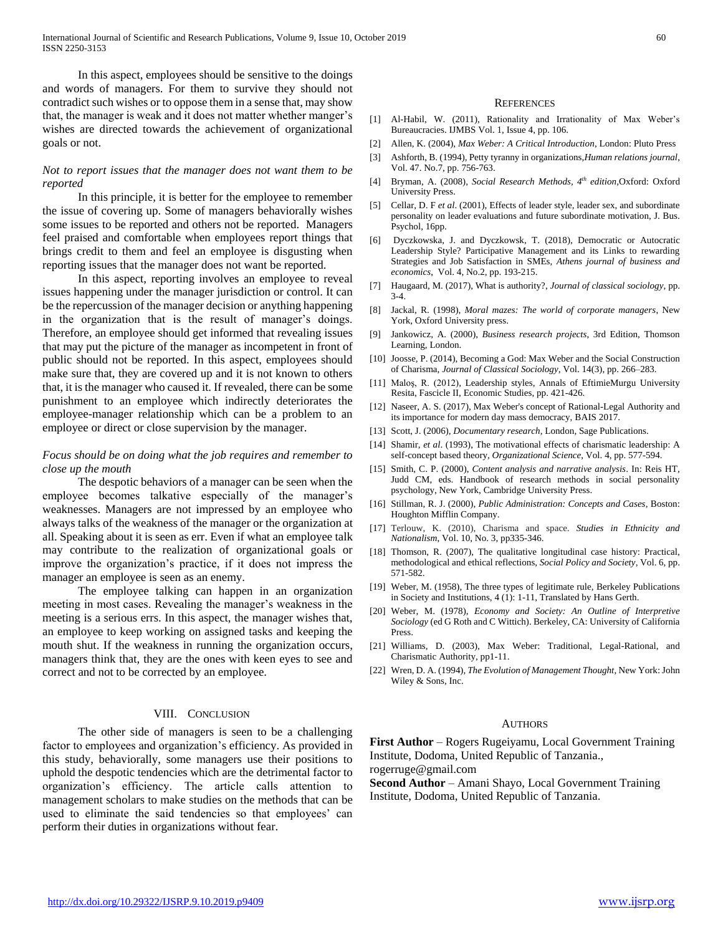In this aspect, employees should be sensitive to the doings and words of managers. For them to survive they should not contradict such wishes or to oppose them in a sense that, may show that, the manager is weak and it does not matter whether manger's wishes are directed towards the achievement of organizational goals or not.

# *Not to report issues that the manager does not want them to be reported*

 In this principle, it is better for the employee to remember the issue of covering up. Some of managers behaviorally wishes some issues to be reported and others not be reported. Managers feel praised and comfortable when employees report things that brings credit to them and feel an employee is disgusting when reporting issues that the manager does not want be reported.

 In this aspect, reporting involves an employee to reveal issues happening under the manager jurisdiction or control. It can be the repercussion of the manager decision or anything happening in the organization that is the result of manager's doings. Therefore, an employee should get informed that revealing issues that may put the picture of the manager as incompetent in front of public should not be reported. In this aspect, employees should make sure that, they are covered up and it is not known to others that, it is the manager who caused it. If revealed, there can be some punishment to an employee which indirectly deteriorates the employee-manager relationship which can be a problem to an employee or direct or close supervision by the manager.

# *Focus should be on doing what the job requires and remember to close up the mouth*

 The despotic behaviors of a manager can be seen when the employee becomes talkative especially of the manager's weaknesses. Managers are not impressed by an employee who always talks of the weakness of the manager or the organization at all. Speaking about it is seen as err. Even if what an employee talk may contribute to the realization of organizational goals or improve the organization's practice, if it does not impress the manager an employee is seen as an enemy.

 The employee talking can happen in an organization meeting in most cases. Revealing the manager's weakness in the meeting is a serious errs. In this aspect, the manager wishes that, an employee to keep working on assigned tasks and keeping the mouth shut. If the weakness in running the organization occurs, managers think that, they are the ones with keen eyes to see and correct and not to be corrected by an employee.

#### VIII. CONCLUSION

 The other side of managers is seen to be a challenging factor to employees and organization's efficiency. As provided in this study, behaviorally, some managers use their positions to uphold the despotic tendencies which are the detrimental factor to organization's efficiency. The article calls attention to management scholars to make studies on the methods that can be used to eliminate the said tendencies so that employees' can perform their duties in organizations without fear.

#### **REFERENCES**

- [1] Al-Habil, W. (2011), Rationality and Irrationality of Max Weber's Bureaucracies. IJMBS Vol. 1, Issue 4, pp. 106.
- [2] Allen, K. (2004), *Max Weber: A Critical Introduction*, London: Pluto Press
- [3] Ashforth, B. (1994), Petty tyranny in organizations,*Human relations journal*, Vol. 47. No.7, pp. 756-763.
- [4] Bryman, A. (2008), *Social Research Methods, 4 th edition,*Oxford: Oxford University Press.
- [5] Cellar, D. F *et al*. (2001), Effects of leader style, leader sex, and subordinate personality on leader evaluations and future subordinate motivation, J. Bus. Psychol, 16pp.
- [6] Dyczkowska, J. and Dyczkowsk, T. (2018), Democratic or Autocratic Leadership Style? Participative Management and its Links to rewarding Strategies and Job Satisfaction in SMEs, *Athens journal of business and economics*, Vol. 4, No.2, pp. 193-215.
- [7] Haugaard, M. (2017), What is authority?, *Journal of classical sociology*, pp. 3-4.
- [8] Jackal, R. (1998), *Moral mazes: The world of corporate managers*, New York, Oxford University press.
- [9] Jankowicz, A. (2000), *Business research projects*, 3rd Edition, Thomson Learning, London.
- [10] Joosse, P. (2014), Becoming a God: Max Weber and the Social Construction of Charisma, *Journal of Classical Sociology,* Vol. 14(3), pp. 266–283.
- [11] Maloş, R. (2012), Leadership styles, Annals of EftimieMurgu University Resita, Fascicle II, Economic Studies, pp. 421-426.
- [12] Naseer, A. S. (2017), Max Weber's concept of Rational-Legal Authority and its importance for modern day mass democracy, BAIS 2017.
- [13] Scott, J. (2006), *Documentary research*, London, Sage Publications.
- [14] Shamir, *et al*. (1993), The motivational effects of charismatic leadership: A self-concept based theory, *Organizational Science*, Vol. 4, pp. 577-594.
- [15] Smith, C. P. (2000), *Content analysis and narrative analysis*. In: Reis HT, Judd CM, eds. Handbook of research methods in social personality psychology, New York, Cambridge University Press.
- [16] Stillman, R. J. (2000), *Public Administration: Concepts and Cases*, Boston: Houghton Mifflin Company.
- [17] Terlouw, K. (2010), Charisma and space. *Studies in Ethnicity and Nationalism*, Vol. 10, No. 3, pp335-346.
- [18] Thomson, R. (2007), The qualitative longitudinal case history: Practical, methodological and ethical reflections, *Social Policy and Society*, Vol. 6, pp. 571-582.
- [19] Weber, M. (1958), The three types of legitimate rule, Berkeley Publications in Society and Institutions, 4 (1): 1-11, Translated by Hans Gerth.
- [20] Weber, M. (1978), *Economy and Society: An Outline of Interpretive Sociology* (ed G Roth and C Wittich). Berkeley, CA: University of California Press.
- [21] Williams, D. (2003), Max Weber: Traditional, Legal-Rational, and Charismatic Authority, pp1-11.
- [22] Wren, D. A. (1994), *The Evolution of Management Thought*, New York: John Wiley & Sons, Inc.

#### AUTHORS

**First Author** – Rogers Rugeiyamu, Local Government Training Institute, Dodoma, United Republic of Tanzania.,

rogerruge@gmail.com

**Second Author** – Amani Shayo, Local Government Training Institute, Dodoma, United Republic of Tanzania.